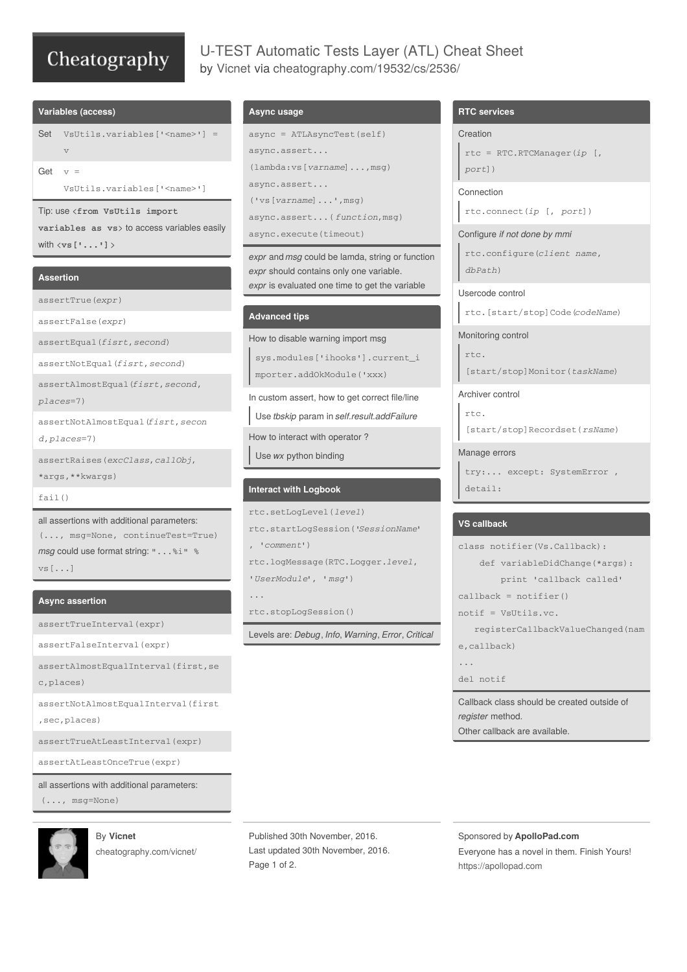# Cheatography

# U-TEST Automatic Tests Layer (ATL) Cheat Sheet by [Vicnet](http://www.cheatography.com/vicnet/) via [cheatography.com/19532/cs/2536/](http://www.cheatography.com/vicnet/cheat-sheets/u-test-automatic-tests-layer-atl)

#### **Variables (access)**

Set VsUtils.variables['<name>'] =  $\tau$ 

Get  $v =$ 

VsUtils.variables['<name>']

Tip: use <**from VsUtils import**

**variables as vs**> to access variables easily with <**vs['...']**>

#### **Assertion**

assertTrue(*expr*)

assertFalse(*expr*)

assertEqual(*fisrt*,*second*)

assertNotEqual(*fisrt*,*second*)

assertAlmostEqual(*fisrt*,*second*, *places*=7)

assertNotAlmostEqual(*fisrt*,*secon d*,*places*=7)

assertRaises(*excClass*,*callObj*, \*args,\*\*kwargs)

fail()

all assertions with additional parameters: (..., msg=None, continueTest=True) *msg* could use format string: "...%i" % vs[...]

#### **Async assertion**

assertTrueInterval(expr)

assertFalseInterval(expr)

assertAlmostEqualInterval(first,se c,places)

assertNotAlmostEqualInterval(first

,sec,places)

assertTrueAtLeastInterval(expr)

assertAtLeastOnceTrue(expr)

all assertions with additional parameters: (..., msg=None)



By **Vicnet** [cheatography.com/vicnet/](http://www.cheatography.com/vicnet/)

### **Async usage**

```
async = ATLAsyncTest(self)
async.assert...
(lambda:vs[varname]...,msg)
async.assert...
('vs[varname]...',msg)
async.assert...( function,msg)
async.execute(timeout)
```
*expr* and *msg* could be lamda, string or function *expr* should contains only one variable. *expr* is evaluated one time to get the variable

## **Advanced tips**

```
How to disable warning import msg
```
sys.modules['ihooks'].current\_i mporter.addOkModule('xxx)

In custom assert, how to get correct file/line

Use *tbskip* param in *self.result.addFailure*

How to interact with operator ?

Use *wx* python binding

#### **Interact with Logbook**

```
rtc.setLogLevel(level)
rtc.startLogSession('SessionName'
, 'comment')
rtc.logMessage(RTC.Logger.level,
'UserModule', 'msg')
...
```
rtc.stopLogSession()

Levels are: *Debug*, *Info*, *Warning*, *Error*, *Critical*

## **RTC services**

#### Creation

```
rtc = RTC.RTCManager(ip [,
port])
```
Connection

rtc.connect(*ip* [, *port*])

Configure *if not done by mmi*

rtc.configure(*client name*, *dbPath*)

Usercode control rtc.[start/stop]Code(*codeName*)

#### Monitoring control

rtc. [start/stop]Monitor(*taskName*)

Archiver control

rtc. [start/stop]Recordset(*rsName*)

#### Manage errors

```
try:... except: SystemError ,
detail:
```
# **VS callback**

```
class notifier(Vs.Callback):
    def variableDidChange(*args):
        print 'callback called'
call = notifier()
notif = VsUtils.vc.
   registerCallbackValueChanged(nam
e,callback)
...
del notif
Callback class should be created outside of
```
*register* method. Other callback are available.

Published 30th November, 2016. Last updated 30th November, 2016. Page 1 of 2.

Sponsored by **ApolloPad.com**

Everyone has a novel in them. Finish Yours! <https://apollopad.com>